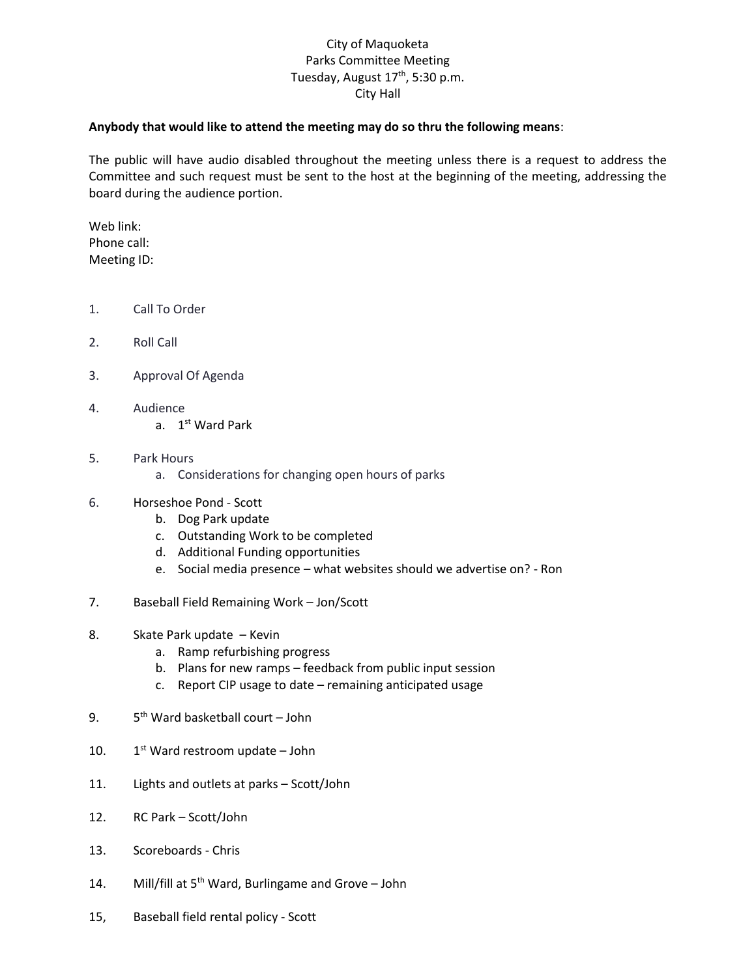## City of Maquoketa Parks Committee Meeting Tuesday, August 17<sup>th</sup>, 5:30 p.m. City Hall

## **Anybody that would like to attend the meeting may do so thru the following means**:

The public will have audio disabled throughout the meeting unless there is a request to address the Committee and such request must be sent to the host at the beginning of the meeting, addressing the board during the audience portion.

Web link: Phone call: Meeting ID:

- 1. Call To Order
- 2. Roll Call
- 3. Approval Of Agenda
- 4. Audience
	- a. 1st Ward Park
- 5. Park Hours
	- a. Considerations for changing open hours of parks
- 6. Horseshoe Pond Scott
	- b. Dog Park update
	- c. Outstanding Work to be completed
	- d. Additional Funding opportunities
	- e. Social media presence what websites should we advertise on? Ron
- 7. Baseball Field Remaining Work Jon/Scott
- 8. Skate Park update Kevin
	- a. Ramp refurbishing progress
	- b. Plans for new ramps feedback from public input session
	- c. Report CIP usage to date remaining anticipated usage
- $9.$ 5<sup>th</sup> Ward basketball court – John
- $10.$  $1<sup>st</sup>$  Ward restroom update – John
- 11. Lights and outlets at parks Scott/John
- 12. RC Park Scott/John
- 13. Scoreboards Chris
- 14. Mill/fill at 5<sup>th</sup> Ward, Burlingame and Grove John
- 15, Baseball field rental policy Scott